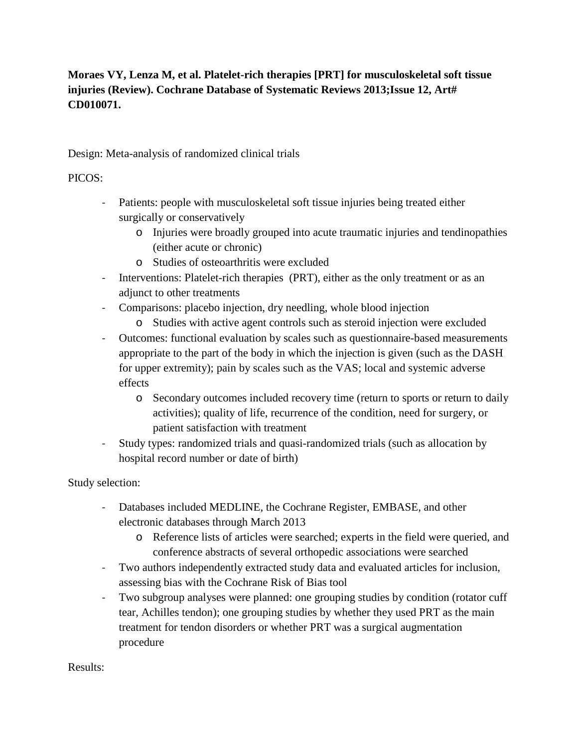# **Moraes VY, Lenza M, et al. Platelet-rich therapies [PRT] for musculoskeletal soft tissue injuries (Review). Cochrane Database of Systematic Reviews 2013;Issue 12, Art# CD010071.**

Design: Meta-analysis of randomized clinical trials

### PICOS:

- Patients: people with musculoskeletal soft tissue injuries being treated either surgically or conservatively
	- o Injuries were broadly grouped into acute traumatic injuries and tendinopathies (either acute or chronic)
	- o Studies of osteoarthritis were excluded
- Interventions: Platelet-rich therapies (PRT), either as the only treatment or as an adjunct to other treatments
- Comparisons: placebo injection, dry needling, whole blood injection
	- o Studies with active agent controls such as steroid injection were excluded
- Outcomes: functional evaluation by scales such as questionnaire-based measurements appropriate to the part of the body in which the injection is given (such as the DASH for upper extremity); pain by scales such as the VAS; local and systemic adverse effects
	- o Secondary outcomes included recovery time (return to sports or return to daily activities); quality of life, recurrence of the condition, need for surgery, or patient satisfaction with treatment
- Study types: randomized trials and quasi-randomized trials (such as allocation by hospital record number or date of birth)

#### Study selection:

- Databases included MEDLINE, the Cochrane Register, EMBASE, and other electronic databases through March 2013
	- o Reference lists of articles were searched; experts in the field were queried, and conference abstracts of several orthopedic associations were searched
- Two authors independently extracted study data and evaluated articles for inclusion, assessing bias with the Cochrane Risk of Bias tool
- Two subgroup analyses were planned: one grouping studies by condition (rotator cuff tear, Achilles tendon); one grouping studies by whether they used PRT as the main treatment for tendon disorders or whether PRT was a surgical augmentation procedure

Results: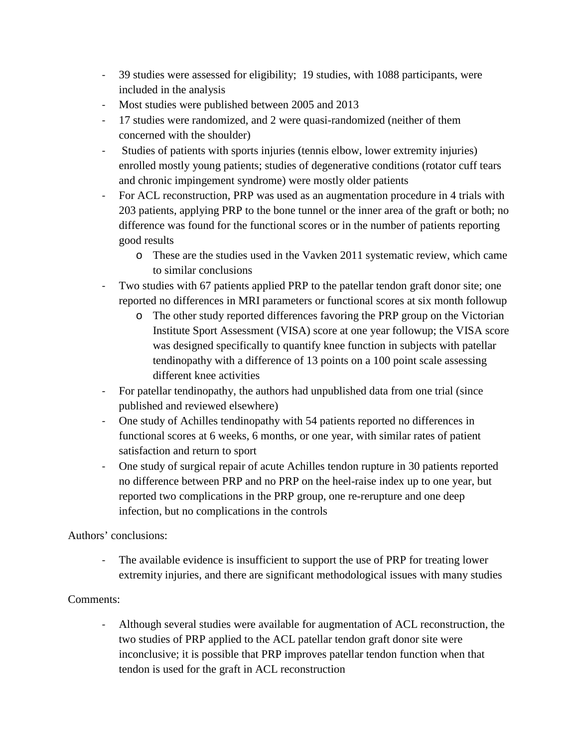- 39 studies were assessed for eligibility; 19 studies, with 1088 participants, were included in the analysis
- Most studies were published between 2005 and 2013
- 17 studies were randomized, and 2 were quasi-randomized (neither of them concerned with the shoulder)
- Studies of patients with sports injuries (tennis elbow, lower extremity injuries) enrolled mostly young patients; studies of degenerative conditions (rotator cuff tears and chronic impingement syndrome) were mostly older patients
- For ACL reconstruction, PRP was used as an augmentation procedure in 4 trials with 203 patients, applying PRP to the bone tunnel or the inner area of the graft or both; no difference was found for the functional scores or in the number of patients reporting good results
	- o These are the studies used in the Vavken 2011 systematic review, which came to similar conclusions
- Two studies with 67 patients applied PRP to the patellar tendon graft donor site; one reported no differences in MRI parameters or functional scores at six month followup
	- o The other study reported differences favoring the PRP group on the Victorian Institute Sport Assessment (VISA) score at one year followup; the VISA score was designed specifically to quantify knee function in subjects with patellar tendinopathy with a difference of 13 points on a 100 point scale assessing different knee activities
- For patellar tendinopathy, the authors had unpublished data from one trial (since published and reviewed elsewhere)
- One study of Achilles tendinopathy with 54 patients reported no differences in functional scores at 6 weeks, 6 months, or one year, with similar rates of patient satisfaction and return to sport
- One study of surgical repair of acute Achilles tendon rupture in 30 patients reported no difference between PRP and no PRP on the heel-raise index up to one year, but reported two complications in the PRP group, one re-rerupture and one deep infection, but no complications in the controls

Authors' conclusions:

- The available evidence is insufficient to support the use of PRP for treating lower extremity injuries, and there are significant methodological issues with many studies

## Comments:

- Although several studies were available for augmentation of ACL reconstruction, the two studies of PRP applied to the ACL patellar tendon graft donor site were inconclusive; it is possible that PRP improves patellar tendon function when that tendon is used for the graft in ACL reconstruction